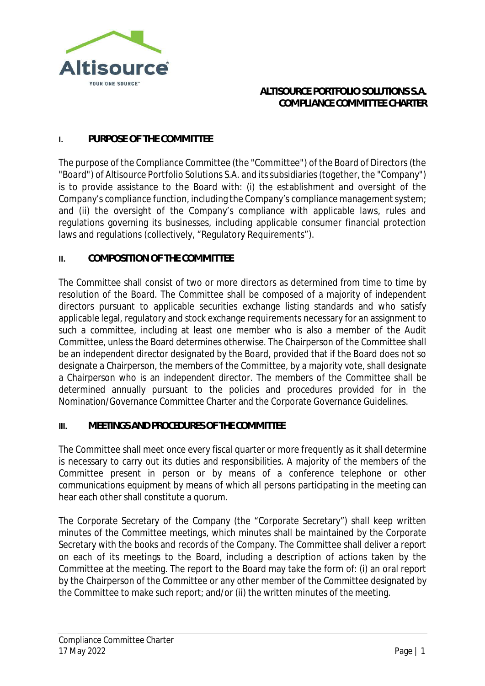

### **ALTISOURCE PORTFOLIO SOLUTIONS S.A. COMPLIANCE COMMITTEE CHARTER**

#### **I. PURPOSE OF THE COMMITTEE**

The purpose of the Compliance Committee (the "Committee") of the Board of Directors (the "Board") of Altisource Portfolio Solutions S.A. and its subsidiaries (together, the "Company") is to provide assistance to the Board with: (i) the establishment and oversight of the Company's compliance function, including the Company's compliance management system; and (ii) the oversight of the Company's compliance with applicable laws, rules and regulations governing its businesses, including applicable consumer financial protection laws and regulations (collectively, "Regulatory Requirements").

### **II. COMPOSITION OF THE COMMITTEE**

The Committee shall consist of two or more directors as determined from time to time by resolution of the Board. The Committee shall be composed of a majority of independent directors pursuant to applicable securities exchange listing standards and who satisfy applicable legal, regulatory and stock exchange requirements necessary for an assignment to such a committee, including at least one member who is also a member of the Audit Committee, unless the Board determines otherwise. The Chairperson of the Committee shall be an independent director designated by the Board, provided that if the Board does not so designate a Chairperson, the members of the Committee, by a majority vote, shall designate a Chairperson who is an independent director. The members of the Committee shall be determined annually pursuant to the policies and procedures provided for in the Nomination/Governance Committee Charter and the Corporate Governance Guidelines.

#### **III. MEETINGS AND PROCEDURES OF THE COMMITTEE**

The Committee shall meet once every fiscal quarter or more frequently as it shall determine is necessary to carry out its duties and responsibilities. A majority of the members of the Committee present in person or by means of a conference telephone or other communications equipment by means of which all persons participating in the meeting can hear each other shall constitute a quorum.

The Corporate Secretary of the Company (the "Corporate Secretary") shall keep written minutes of the Committee meetings, which minutes shall be maintained by the Corporate Secretary with the books and records of the Company. The Committee shall deliver a report on each of its meetings to the Board, including a description of actions taken by the Committee at the meeting. The report to the Board may take the form of: (i) an oral report by the Chairperson of the Committee or any other member of the Committee designated by the Committee to make such report; and/or (ii) the written minutes of the meeting.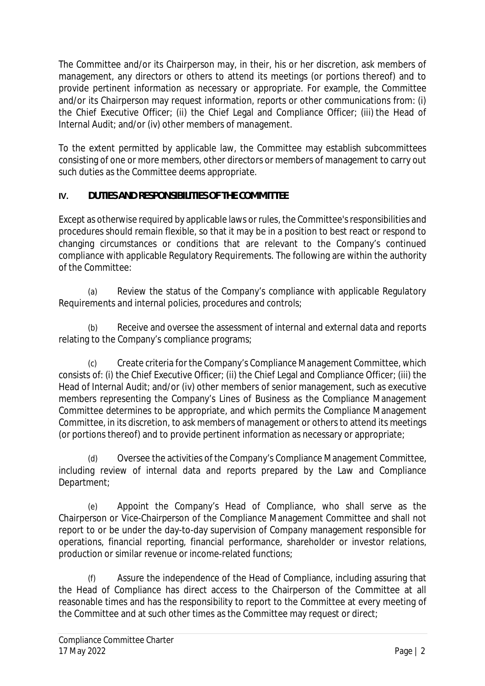The Committee and/or its Chairperson may, in their, his or her discretion, ask members of management, any directors or others to attend its meetings (or portions thereof) and to provide pertinent information as necessary or appropriate. For example, the Committee and/or its Chairperson may request information, reports or other communications from: (i) the Chief Executive Officer; (ii) the Chief Legal and Compliance Officer; (iii) the Head of Internal Audit; and/or (iv) other members of management.

To the extent permitted by applicable law, the Committee may establish subcommittees consisting of one or more members, other directors or members of management to carry out such duties as the Committee deems appropriate.

## **IV. DUTIES AND RESPONSIBILITIES OF THE COMMITTEE**

Except as otherwise required by applicable laws or rules, the Committee's responsibilities and procedures should remain flexible, so that it may be in a position to best react or respond to changing circumstances or conditions that are relevant to the Company's continued compliance with applicable Regulatory Requirements. The following are within the authority of the Committee:

(a) Review the status of the Company's compliance with applicable Regulatory Requirements and internal policies, procedures and controls;

(b) Receive and oversee the assessment of internal and external data and reports relating to the Company's compliance programs;

Create criteria for the Company's Compliance Management Committee, which consists of: (i) the Chief Executive Officer; (ii) the Chief Legal and Compliance Officer; (iii) the Head of Internal Audit; and/or (iv) other members of senior management, such as executive members representing the Company's Lines of Business as the Compliance Management Committee determines to be appropriate, and which permits the Compliance Management Committee, in its discretion, to ask members of management or others to attend its meetings (or portions thereof) and to provide pertinent information as necessary or appropriate;

(d) Oversee the activities of the Company's Compliance Management Committee, including review of internal data and reports prepared by the Law and Compliance Department;

(e) Appoint the Company's Head of Compliance, who shall serve as the Chairperson or Vice-Chairperson of the Compliance Management Committee and shall not report to or be under the day-to-day supervision of Company management responsible for operations, financial reporting, financial performance, shareholder or investor relations, production or similar revenue or income-related functions;

(f) Assure the independence of the Head of Compliance, including assuring that the Head of Compliance has direct access to the Chairperson of the Committee at all reasonable times and has the responsibility to report to the Committee at every meeting of the Committee and at such other times as the Committee may request or direct;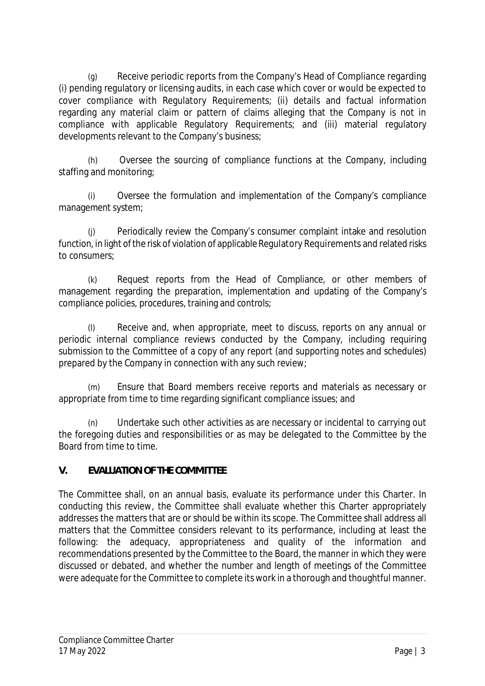(g) Receive periodic reports from the Company's Head of Compliance regarding (i) pending regulatory or licensing audits, in each case which cover or would be expected to cover compliance with Regulatory Requirements; (ii) details and factual information regarding any material claim or pattern of claims alleging that the Company is not in compliance with applicable Regulatory Requirements; and (iii) material regulatory developments relevant to the Company's business;

(h) Oversee the sourcing of compliance functions at the Company, including staffing and monitoring;

Oversee the formulation and implementation of the Company's compliance management system;

(j) Periodically review the Company's consumer complaint intake and resolution function, in light of the risk of violation of applicable Regulatory Requirements and related risks to consumers;

(k) Request reports from the Head of Compliance, or other members of management regarding the preparation, implementation and updating of the Company's compliance policies, procedures, training and controls;

(l) Receive and, when appropriate, meet to discuss, reports on any annual or periodic internal compliance reviews conducted by the Company, including requiring submission to the Committee of a copy of any report (and supporting notes and schedules) prepared by the Company in connection with any such review;

(m) Ensure that Board members receive reports and materials as necessary or appropriate from time to time regarding significant compliance issues; and

(n) Undertake such other activities as are necessary or incidental to carrying out the foregoing duties and responsibilities or as may be delegated to the Committee by the Board from time to time.

# **V. EVALUATION OF THE COMMITTEE**

The Committee shall, on an annual basis, evaluate its performance under this Charter. In conducting this review, the Committee shall evaluate whether this Charter appropriately addresses the matters that are or should be within its scope. The Committee shall address all matters that the Committee considers relevant to its performance, including at least the following: the adequacy, appropriateness and quality of the information and recommendations presented by the Committee to the Board, the manner in which they were discussed or debated, and whether the number and length of meetings of the Committee were adequate for the Committee to complete its work in a thorough and thoughtful manner.